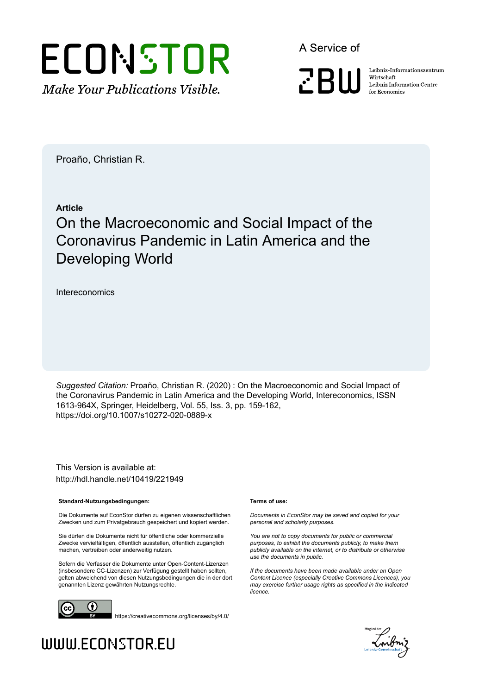

A Service of

**ZBW** 

Leibniz-Informationszentrum Wirtschaft Leibniz Information Centre for Economics

Proaño, Christian R.

## **Article**

# On the Macroeconomic and Social Impact of the Coronavirus Pandemic in Latin America and the Developing World

Intereconomics

*Suggested Citation:* Proaño, Christian R. (2020) : On the Macroeconomic and Social Impact of the Coronavirus Pandemic in Latin America and the Developing World, Intereconomics, ISSN 1613-964X, Springer, Heidelberg, Vol. 55, Iss. 3, pp. 159-162, https://doi.org/10.1007/s10272-020-0889-x

This Version is available at: http://hdl.handle.net/10419/221949

### **Standard-Nutzungsbedingungen:**

Die Dokumente auf EconStor dürfen zu eigenen wissenschaftlichen Zwecken und zum Privatgebrauch gespeichert und kopiert werden.

Sie dürfen die Dokumente nicht für öffentliche oder kommerzielle Zwecke vervielfältigen, öffentlich ausstellen, öffentlich zugänglich machen, vertreiben oder anderweitig nutzen.

Sofern die Verfasser die Dokumente unter Open-Content-Lizenzen (insbesondere CC-Lizenzen) zur Verfügung gestellt haben sollten, gelten abweichend von diesen Nutzungsbedingungen die in der dort genannten Lizenz gewährten Nutzungsrechte.



https://creativecommons.org/licenses/by/4.0/

### **Terms of use:**

*Documents in EconStor may be saved and copied for your personal and scholarly purposes.*

*You are not to copy documents for public or commercial purposes, to exhibit the documents publicly, to make them publicly available on the internet, or to distribute or otherwise use the documents in public.*

*If the documents have been made available under an Open Content Licence (especially Creative Commons Licences), you may exercise further usage rights as specified in the indicated licence.*



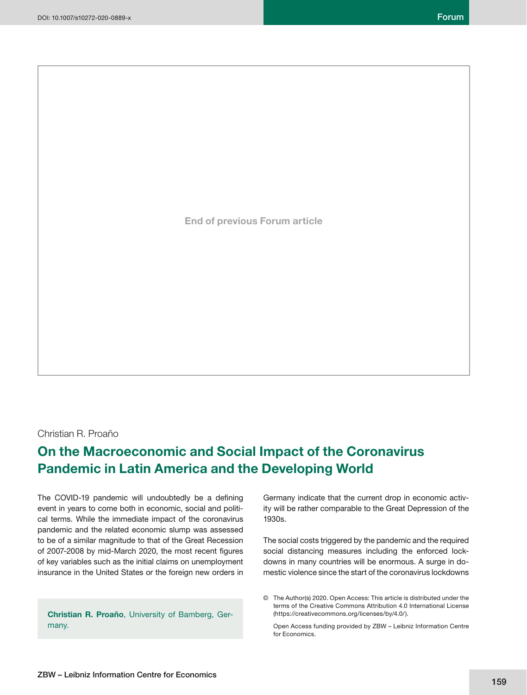**End of previous Forum article**

## Christian R. Proaño

## **On the Macroeconomic and Social Impact of the Coronavirus Pandemic in Latin America and the Developing World**

The COVID-19 pandemic will undoubtedly be a defining event in years to come both in economic, social and political terms. While the immediate impact of the coronavirus pandemic and the related economic slump was assessed to be of a similar magnitude to that of the Great Recession of 2007-2008 by mid-March 2020, the most recent figures of key variables such as the initial claims on unemployment insurance in the United States or the foreign new orders in

**Christian R. Proaño**, University of Bamberg, Germany.

Germany indicate that the current drop in economic activity will be rather comparable to the Great Depression of the 1930s.

The social costs triggered by the pandemic and the required social distancing measures including the enforced lockdowns in many countries will be enormous. A surge in domestic violence since the start of the coronavirus lockdowns

© The Author(s) 2020. Open Access: This article is distributed under the terms of the Creative Commons Attribution 4.0 International License (https://creativecommons.org/licenses/by/4.0/).

 Open Access funding provided by ZBW – Leibniz Information Centre for Economics.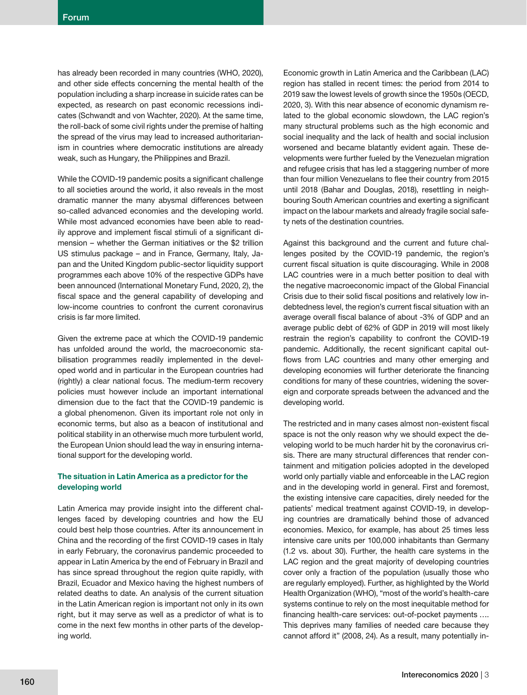has already been recorded in many countries (WHO, 2020), and other side effects concerning the mental health of the population including a sharp increase in suicide rates can be expected, as research on past economic recessions indicates (Schwandt and von Wachter, 2020). At the same time, the roll-back of some civil rights under the premise of halting the spread of the virus may lead to increased authoritarianism in countries where democratic institutions are already weak, such as Hungary, the Philippines and Brazil.

While the COVID-19 pandemic posits a significant challenge to all societies around the world, it also reveals in the most dramatic manner the many abysmal differences between so-called advanced economies and the developing world. While most advanced economies have been able to readily approve and implement fiscal stimuli of a significant dimension – whether the German initiatives or the \$2 trillion US stimulus package – and in France, Germany, Italy, Japan and the United Kingdom public-sector liquidity support programmes each above 10% of the respective GDPs have been announced (International Monetary Fund, 2020, 2), the fiscal space and the general capability of developing and low-income countries to confront the current coronavirus crisis is far more limited.

Given the extreme pace at which the COVID-19 pandemic has unfolded around the world, the macroeconomic stabilisation programmes readily implemented in the developed world and in particular in the European countries had (rightly) a clear national focus. The medium-term recovery policies must however include an important international dimension due to the fact that the COVID-19 pandemic is a global phenomenon. Given its important role not only in economic terms, but also as a beacon of institutional and political stability in an otherwise much more turbulent world, the European Union should lead the way in ensuring international support for the developing world.

## **The situation in Latin America as a predictor for the developing world**

Latin America may provide insight into the different challenges faced by developing countries and how the EU could best help those countries. After its announcement in China and the recording of the first COVID-19 cases in Italy in early February, the coronavirus pandemic proceeded to appear in Latin America by the end of February in Brazil and has since spread throughout the region quite rapidly, with Brazil, Ecuador and Mexico having the highest numbers of related deaths to date. An analysis of the current situation in the Latin American region is important not only in its own right, but it may serve as well as a predictor of what is to come in the next few months in other parts of the developing world.

Economic growth in Latin America and the Caribbean (LAC) region has stalled in recent times: the period from 2014 to 2019 saw the lowest levels of growth since the 1950s (OECD, 2020, 3). With this near absence of economic dynamism related to the global economic slowdown, the LAC region's many structural problems such as the high economic and social inequality and the lack of health and social inclusion worsened and became blatantly evident again. These developments were further fueled by the Venezuelan migration and refugee crisis that has led a staggering number of more than four million Venezuelans to flee their country from 2015 until 2018 (Bahar and Douglas, 2018), resettling in neighbouring South American countries and exerting a significant impact on the labour markets and already fragile social safety nets of the destination countries.

Against this background and the current and future challenges posited by the COVID-19 pandemic, the region's current fiscal situation is quite discouraging. While in 2008 LAC countries were in a much better position to deal with the negative macroeconomic impact of the Global Financial Crisis due to their solid fiscal positions and relatively low indebtedness level, the region's current fiscal situation with an average overall fiscal balance of about -3% of GDP and an average public debt of 62% of GDP in 2019 will most likely restrain the region's capability to confront the COVID-19 pandemic. Additionally, the recent significant capital outflows from LAC countries and many other emerging and developing economies will further deteriorate the financing conditions for many of these countries, widening the sovereign and corporate spreads between the advanced and the developing world.

The restricted and in many cases almost non-existent fiscal space is not the only reason why we should expect the developing world to be much harder hit by the coronavirus crisis. There are many structural differences that render containment and mitigation policies adopted in the developed world only partially viable and enforceable in the LAC region and in the developing world in general. First and foremost, the existing intensive care capacities, direly needed for the patients' medical treatment against COVID-19, in developing countries are dramatically behind those of advanced economies. Mexico, for example, has about 25 times less intensive care units per 100,000 inhabitants than Germany (1.2 vs. about 30). Further, the health care systems in the LAC region and the great majority of developing countries cover only a fraction of the population (usually those who are regularly employed). Further, as highlighted by the World Health Organization (WHO), "most of the world's health-care systems continue to rely on the most inequitable method for financing health-care services: out-of-pocket payments .... This deprives many families of needed care because they cannot afford it" (2008, 24). As a result, many potentially in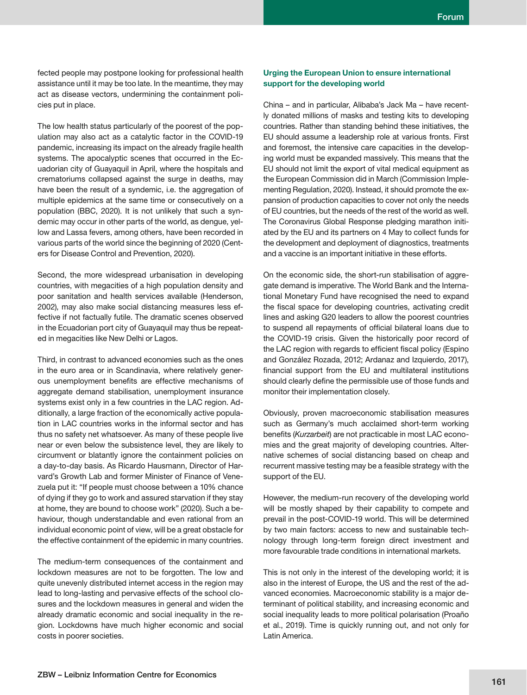fected people may postpone looking for professional health assistance until it may be too late. In the meantime, they may act as disease vectors, undermining the containment policies put in place.

The low health status particularly of the poorest of the population may also act as a catalytic factor in the COVID-19 pandemic, increasing its impact on the already fragile health systems. The apocalyptic scenes that occurred in the Ecuadorian city of Guayaquil in April, where the hospitals and crematoriums collapsed against the surge in deaths, may have been the result of a syndemic, i.e. the aggregation of multiple epidemics at the same time or consecutively on a population (BBC, 2020). It is not unlikely that such a syndemic may occur in other parts of the world, as dengue, yellow and Lassa fevers, among others, have been recorded in various parts of the world since the beginning of 2020 (Centers for Disease Control and Prevention, 2020).

Second, the more widespread urbanisation in developing countries, with megacities of a high population density and poor sanitation and health services available (Henderson, 2002), may also make social distancing measures less effective if not factually futile. The dramatic scenes observed in the Ecuadorian port city of Guayaquil may thus be repeated in megacities like New Delhi or Lagos.

Third, in contrast to advanced economies such as the ones in the euro area or in Scandinavia, where relatively generous unemployment benefits are effective mechanisms of aggregate demand stabilisation, unemployment insurance systems exist only in a few countries in the LAC region. Additionally, a large fraction of the economically active population in LAC countries works in the informal sector and has thus no safety net whatsoever. As many of these people live near or even below the subsistence level, they are likely to circumvent or blatantly ignore the containment policies on a day-to-day basis. As Ricardo Hausmann, Director of Harvard's Growth Lab and former Minister of Finance of Venezuela put it: "If people must choose between a 10% chance of dying if they go to work and assured starvation if they stay at home, they are bound to choose work" (2020). Such a behaviour, though understandable and even rational from an individual economic point of view, will be a great obstacle for the effective containment of the epidemic in many countries.

The medium-term consequences of the containment and lockdown measures are not to be forgotten. The low and quite unevenly distributed internet access in the region may lead to long-lasting and pervasive effects of the school closures and the lockdown measures in general and widen the already dramatic economic and social inequality in the region. Lockdowns have much higher economic and social costs in poorer societies.

## **Urging the European Union to ensure international support for the developing world**

China – and in particular, Alibaba's Jack Ma – have recently donated millions of masks and testing kits to developing countries. Rather than standing behind these initiatives, the EU should assume a leadership role at various fronts. First and foremost, the intensive care capacities in the developing world must be expanded massively. This means that the EU should not limit the export of vital medical equipment as the European Commission did in March (Commission Implementing Regulation, 2020). Instead, it should promote the expansion of production capacities to cover not only the needs of EU countries, but the needs of the rest of the world as well. The Coronavirus Global Response pledging marathon initiated by the EU and its partners on 4 May to collect funds for the development and deployment of diagnostics, treatments and a vaccine is an important initiative in these efforts.

On the economic side, the short-run stabilisation of aggregate demand is imperative. The World Bank and the International Monetary Fund have recognised the need to expand the fiscal space for developing countries, activating credit lines and asking G20 leaders to allow the poorest countries to suspend all repayments of official bilateral loans due to the COVID-19 crisis. Given the historically poor record of the LAC region with regards to efficient fiscal policy (Espino and González Rozada, 2012; Ardanaz and Izquierdo, 2017), financial support from the EU and multilateral institutions should clearly define the permissible use of those funds and monitor their implementation closely.

Obviously, proven macroeconomic stabilisation measures such as Germany's much acclaimed short-term working benefits (Kurzarbeit) are not practicable in most LAC economies and the great majority of developing countries. Alternative schemes of social distancing based on cheap and recurrent massive testing may be a feasible strategy with the support of the EU.

However, the medium-run recovery of the developing world will be mostly shaped by their capability to compete and prevail in the post-COVID-19 world. This will be determined by two main factors: access to new and sustainable technology through long-term foreign direct investment and more favourable trade conditions in international markets.

This is not only in the interest of the developing world; it is also in the interest of Europe, the US and the rest of the advanced economies. Macroeconomic stability is a major determinant of political stability, and increasing economic and social inequality leads to more political polarisation (Proaño et al., 2019). Time is quickly running out, and not only for Latin America.